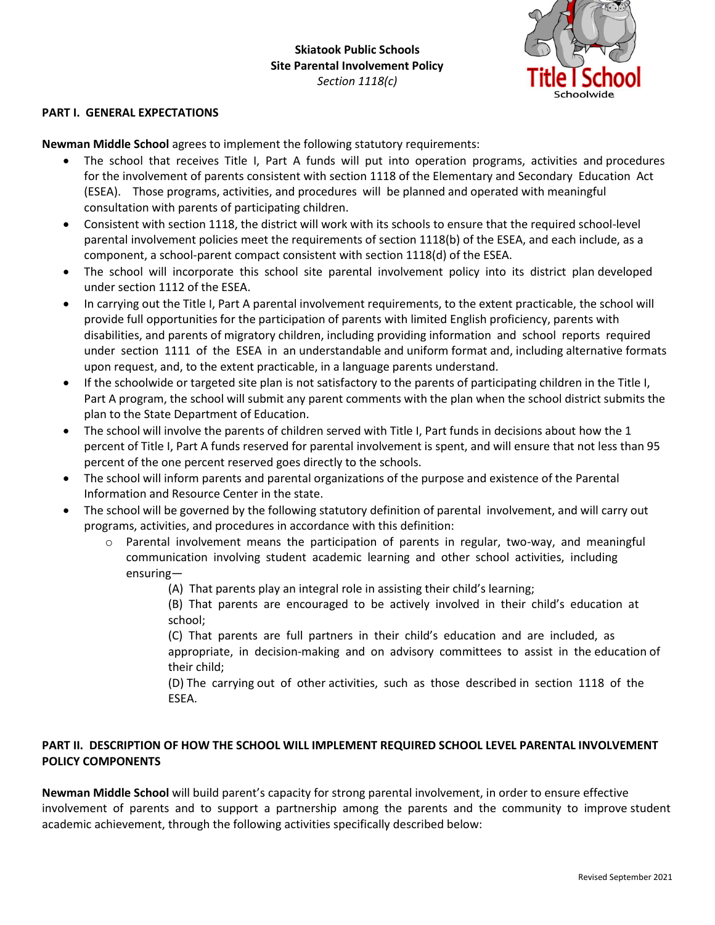

## **PART I. GENERAL EXPECTATIONS**

**Newman Middle School** agrees to implement the following statutory requirements:

- The school that receives Title I, Part A funds will put into operation programs, activities and procedures for the involvement of parents consistent with section 1118 of the Elementary and Secondary Education Act (ESEA). Those programs, activities, and procedures will be planned and operated with meaningful consultation with parents of participating children.
- Consistent with section 1118, the district will work with its schools to ensure that the required school-level parental involvement policies meet the requirements of section 1118(b) of the ESEA, and each include, as a component, a school-parent compact consistent with section 1118(d) of the ESEA.
- The school will incorporate this school site parental involvement policy into its district plan developed under section 1112 of the ESEA.
- In carrying out the Title I, Part A parental involvement requirements, to the extent practicable, the school will provide full opportunities for the participation of parents with limited English proficiency, parents with disabilities, and parents of migratory children, including providing information and school reports required under section 1111 of the ESEA in an understandable and uniform format and, including alternative formats upon request, and, to the extent practicable, in a language parents understand.
- If the schoolwide or targeted site plan is not satisfactory to the parents of participating children in the Title I, Part A program, the school will submit any parent comments with the plan when the school district submits the plan to the State Department of Education.
- The school will involve the parents of children served with Title I, Part funds in decisions about how the 1 percent of Title I, Part A funds reserved for parental involvement is spent, and will ensure that not less than 95 percent of the one percent reserved goes directly to the schools.
- The school will inform parents and parental organizations of the purpose and existence of the Parental Information and Resource Center in the state.
- The school will be governed by the following statutory definition of parental involvement, and will carry out programs, activities, and procedures in accordance with this definition:
	- $\circ$  Parental involvement means the participation of parents in regular, two-way, and meaningful communication involving student academic learning and other school activities, including ensuring—
		- (A) That parents play an integral role in assisting their child's learning;
		- (B) That parents are encouraged to be actively involved in their child's education at school;
		- (C) That parents are full partners in their child's education and are included, as appropriate, in decision-making and on advisory committees to assist in the education of their child;
		- (D) The carrying out of other activities, such as those described in section 1118 of the ESEA.

## **PART II. DESCRIPTION OF HOW THE SCHOOL WILL IMPLEMENT REQUIRED SCHOOL LEVEL PARENTAL INVOLVEMENT POLICY COMPONENTS**

**Newman Middle School** will build parent's capacity for strong parental involvement, in order to ensure effective involvement of parents and to support a partnership among the parents and the community to improve student academic achievement, through the following activities specifically described below: